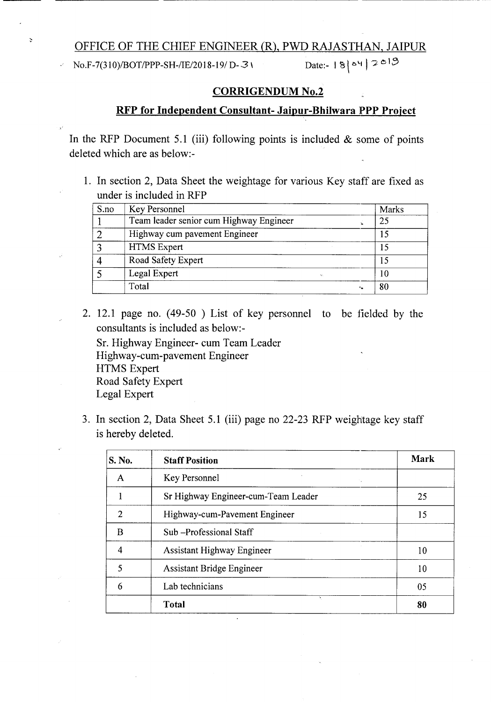## OFFICE OF THE CHIEF ENGINEER (R), PWD RAJASTHAN, JAIPUR

*No.F-7(310)/BOT/PPP-SH-/IE/2018-19/ D-31* Date:-  $|8|^{24}$ , 2<sup>013</sup>

 $\ddot{\phantom{0}}$ 

----- --- ----------------

## CORRIGENDUM No.2

## RFP for Independent Consultant- Jaipur-Bhilwara PPP Project

In the RFP Document 5.1 (iii) following points is included  $&$  some of points deleted which are as below:-

1. In section 2, Data Sheet the weightage for various Key staff are fixed as under is included in RFP

| S.no | Key Personnel                                                  | Marks |
|------|----------------------------------------------------------------|-------|
|      | Team leader senior cum Highway Engineer                        | 25    |
|      | Highway cum pavement Engineer                                  |       |
|      | <b>HTMS</b> Expert                                             |       |
|      | Road Safety Expert                                             |       |
|      | Legal Expert<br>$\mathcal{H}_{\mathbf{a}^{\prime},\mathbf{b}}$ | 10    |
|      | Total<br>44                                                    | 80    |

2. 12.1 page no. (49-50 ) List of key personnel to be fielded by the consultants is included as below:-

Sr. Highway Engineer- cum Team Leader Highway-cum-pavement Engineer HTMS Expert Road Safety Expert Legal Expert

3. In section 2, Data Sheet 5.1 (iii) page no 22-23 RFP weightage key staff is hereby deleted.

| S. No.        | <b>Staff Position</b>               | <b>Mark</b> |
|---------------|-------------------------------------|-------------|
| A             | Key Personnel<br>$\sim 10^{-1}$     |             |
|               | Sr Highway Engineer-cum-Team Leader | 25          |
| $\mathcal{P}$ | Highway-cum-Pavement Engineer       | 15          |
| B             | Sub-Professional Staff              |             |
| 4             | <b>Assistant Highway Engineer</b>   | 10          |
| 5             | <b>Assistant Bridge Engineer</b>    | 10          |
| 6             | Lab technicians                     | 05          |
|               | ٠.<br><b>Total</b>                  | 80          |